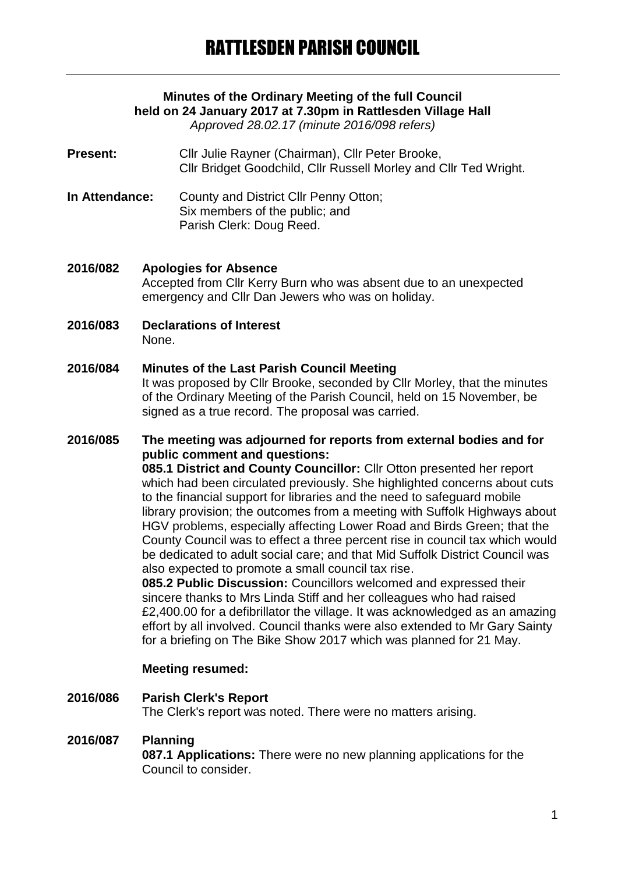# **Minutes of the Ordinary Meeting of the full Council held on 24 January 2017 at 7.30pm in Rattlesden Village Hall**

*Approved 28.02.17 (minute 2016/098 refers)*

- Present: Cllr Julie Rayner (Chairman), Cllr Peter Brooke, Cllr Bridget Goodchild, Cllr Russell Morley and Cllr Ted Wright.
- **In Attendance:** County and District Cllr Penny Otton; Six members of the public; and Parish Clerk: Doug Reed.
- **2016/082 Apologies for Absence** Accepted from Cllr Kerry Burn who was absent due to an unexpected emergency and Cllr Dan Jewers who was on holiday.
- **2016/083 Declarations of Interest** None.

## **2016/084 Minutes of the Last Parish Council Meeting**

It was proposed by Cllr Brooke, seconded by Cllr Morley, that the minutes of the Ordinary Meeting of the Parish Council, held on 15 November, be signed as a true record. The proposal was carried.

#### **2016/085 The meeting was adjourned for reports from external bodies and for public comment and questions:**

**085.1 District and County Councillor:** Cllr Otton presented her report which had been circulated previously. She highlighted concerns about cuts to the financial support for libraries and the need to safeguard mobile library provision; the outcomes from a meeting with Suffolk Highways about HGV problems, especially affecting Lower Road and Birds Green; that the County Council was to effect a three percent rise in council tax which would be dedicated to adult social care; and that Mid Suffolk District Council was also expected to promote a small council tax rise.

**085.2 Public Discussion:** Councillors welcomed and expressed their sincere thanks to Mrs Linda Stiff and her colleagues who had raised £2,400.00 for a defibrillator the village. It was acknowledged as an amazing effort by all involved. Council thanks were also extended to Mr Gary Sainty for a briefing on The Bike Show 2017 which was planned for 21 May.

#### **Meeting resumed:**

**2016/086 Parish Clerk's Report** The Clerk's report was noted. There were no matters arising.

#### **2016/087 Planning**

**087.1 Applications:** There were no new planning applications for the Council to consider.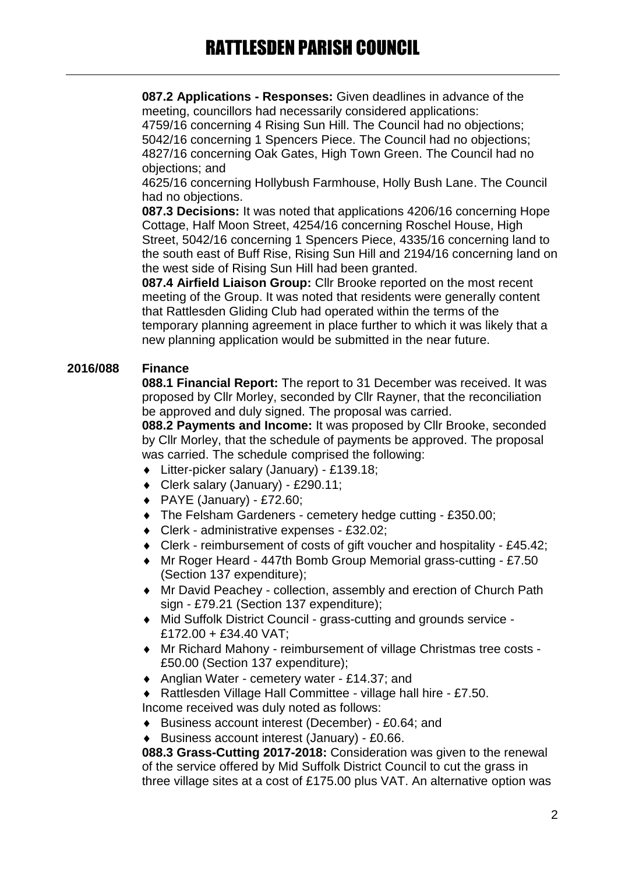# RATTLESDEN PARISH COUNCIL

**087.2 Applications - Responses:** Given deadlines in advance of the meeting, councillors had necessarily considered applications:

4759/16 concerning 4 Rising Sun Hill. The Council had no objections; 5042/16 concerning 1 Spencers Piece. The Council had no objections; 4827/16 concerning Oak Gates, High Town Green. The Council had no objections; and

4625/16 concerning Hollybush Farmhouse, Holly Bush Lane. The Council had no objections.

**087.3 Decisions:** It was noted that applications 4206/16 concerning Hope Cottage, Half Moon Street, 4254/16 concerning Roschel House, High Street, 5042/16 concerning 1 Spencers Piece, 4335/16 concerning land to the south east of Buff Rise, Rising Sun Hill and 2194/16 concerning land on the west side of Rising Sun Hill had been granted.

**087.4 Airfield Liaison Group:** Cllr Brooke reported on the most recent meeting of the Group. It was noted that residents were generally content that Rattlesden Gliding Club had operated within the terms of the temporary planning agreement in place further to which it was likely that a new planning application would be submitted in the near future.

### **2016/088 Finance**

**088.1 Financial Report:** The report to 31 December was received. It was proposed by Cllr Morley, seconded by Cllr Rayner, that the reconciliation be approved and duly signed. The proposal was carried.

**088.2 Payments and Income:** It was proposed by Cllr Brooke, seconded by Cllr Morley, that the schedule of payments be approved. The proposal was carried. The schedule comprised the following:

- Litter-picker salary (January) £139.18;
- Clerk salary (January) £290.11;
- $\blacklozenge$  PAYE (January) £72.60;
- The Felsham Gardeners cemetery hedge cutting £350.00;
- Clerk administrative expenses £32.02;
- Clerk reimbursement of costs of gift voucher and hospitality £45.42;
- Mr Roger Heard 447th Bomb Group Memorial grass-cutting £7.50 (Section 137 expenditure);
- Mr David Peachey collection, assembly and erection of Church Path sign - £79.21 (Section 137 expenditure);
- Mid Suffolk District Council grass-cutting and grounds service £172.00 + £34.40 VAT;
- Mr Richard Mahony reimbursement of village Christmas tree costs £50.00 (Section 137 expenditure);
- ◆ Anglian Water cemetery water £14.37; and
- ◆ Rattlesden Village Hall Committee village hall hire £7.50. Income received was duly noted as follows:
- Business account interest (December) £0.64; and
- Business account interest (January) £0.66.

**088.3 Grass-Cutting 2017-2018:** Consideration was given to the renewal of the service offered by Mid Suffolk District Council to cut the grass in three village sites at a cost of £175.00 plus VAT. An alternative option was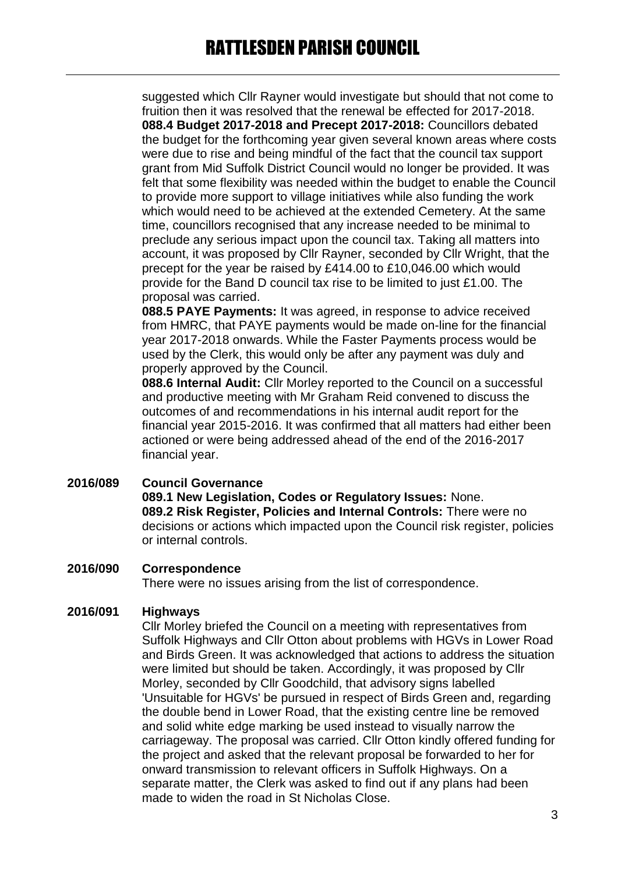suggested which Cllr Rayner would investigate but should that not come to fruition then it was resolved that the renewal be effected for 2017-2018. **088.4 Budget 2017-2018 and Precept 2017-2018:** Councillors debated the budget for the forthcoming year given several known areas where costs were due to rise and being mindful of the fact that the council tax support grant from Mid Suffolk District Council would no longer be provided. It was felt that some flexibility was needed within the budget to enable the Council to provide more support to village initiatives while also funding the work which would need to be achieved at the extended Cemetery. At the same time, councillors recognised that any increase needed to be minimal to preclude any serious impact upon the council tax. Taking all matters into account, it was proposed by Cllr Rayner, seconded by Cllr Wright, that the precept for the year be raised by £414.00 to £10,046.00 which would provide for the Band D council tax rise to be limited to just £1.00. The proposal was carried.

**088.5 PAYE Payments:** It was agreed, in response to advice received from HMRC, that PAYE payments would be made on-line for the financial year 2017-2018 onwards. While the Faster Payments process would be used by the Clerk, this would only be after any payment was duly and properly approved by the Council.

**088.6 Internal Audit:** Cllr Morley reported to the Council on a successful and productive meeting with Mr Graham Reid convened to discuss the outcomes of and recommendations in his internal audit report for the financial year 2015-2016. It was confirmed that all matters had either been actioned or were being addressed ahead of the end of the 2016-2017 financial year.

**2016/089 Council Governance 089.1 New Legislation, Codes or Regulatory Issues:** None. **089.2 Risk Register, Policies and Internal Controls:** There were no decisions or actions which impacted upon the Council risk register, policies or internal controls.

#### **2016/090 Correspondence**

There were no issues arising from the list of correspondence.

#### **2016/091 Highways**

Cllr Morley briefed the Council on a meeting with representatives from Suffolk Highways and Cllr Otton about problems with HGVs in Lower Road and Birds Green. It was acknowledged that actions to address the situation were limited but should be taken. Accordingly, it was proposed by Cllr Morley, seconded by Cllr Goodchild, that advisory signs labelled 'Unsuitable for HGVs' be pursued in respect of Birds Green and, regarding the double bend in Lower Road, that the existing centre line be removed and solid white edge marking be used instead to visually narrow the carriageway. The proposal was carried. Cllr Otton kindly offered funding for the project and asked that the relevant proposal be forwarded to her for onward transmission to relevant officers in Suffolk Highways. On a separate matter, the Clerk was asked to find out if any plans had been made to widen the road in St Nicholas Close.